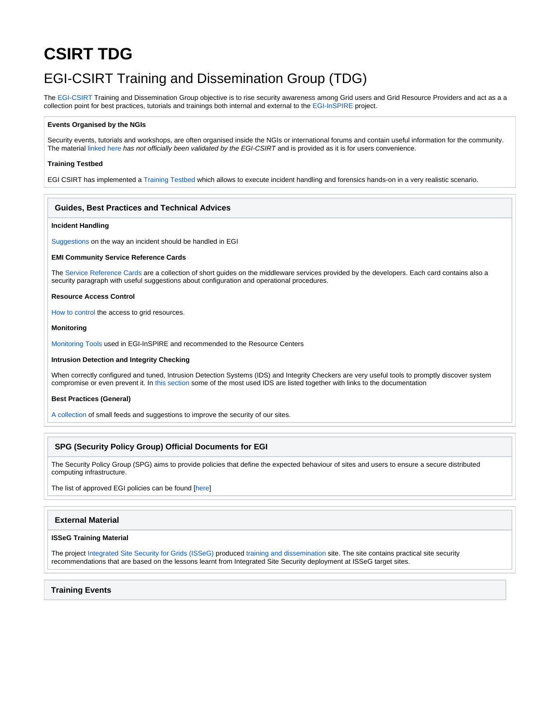# **CSIRT TDG**

## EGI-CSIRT Training and Dissemination Group (TDG)

The [EGI-CSIRT](https://confluence.egi.eu/display/EGIBG/CSIRT) Training and Dissemination Group objective is to rise security awareness among Grid users and Grid Resource Providers and act as a a collection point for best practices, tutorials and trainings both internal and external to the [EGI-InSPIRE](http://www.egi.eu/projects/egi-inspire/) project.

#### **Events Organised by the NGIs**

Security events, tutorials and workshops, are often organised inside the NGIs or international forums and contain useful information for the community. The material [linked here](https://wiki.egi.eu/wiki/EGI_CSIRT:TDG/training_events) has not officially been validated by the EGI-CSIRT and is provided as it is for users convenience.

#### **Training Testbed**

EGI CSIRT has implemented a [Training Testbed](https://wiki.egi.eu/wiki/EGI_CSIRT:TDG/Training-Testbed) which allows to execute incident handling and forensics hands-on in a very realistic scenario.

#### **Guides, Best Practices and Technical Advices**

#### **Incident Handling**

[Suggestions](https://wiki.egi.eu/wiki/EGI_CSIRT:TDG/Incident-handl) on the way an incident should be handled in EGI

#### **EMI Community Service Reference Cards**

The [Service Reference Cards](https://twiki.cern.ch/twiki/bin/view/EMI/EMTSrcTemplate#SrcLinks) are a collection of short guides on the middleware services provided by the developers. Each card contains also a security paragraph with useful suggestions about configuration and operational procedures.

#### **Resource Access Control**

[How to control](https://wiki.egi.eu/wiki/EGI_CSIRT:TDG/Resource-Access) the access to grid resources.

#### **Monitoring**

[Monitoring Tools](https://wiki.egi.eu/wiki/EGI_CSIRT:Monitoring) used in EGI-InSPIRE and recommended to the Resource Centers

#### **Intrusion Detection and Integrity Checking**

When correctly configured and tuned, Intrusion Detection Systems (IDS) and Integrity Checkers are very useful tools to promptly discover system compromise or even prevent it. In [this section](https://wiki.egi.eu/wiki/EGI_CSIRT:TDG/IDS) some of the most used IDS are listed together with links to the documentation

#### **Best Practices (General)**

[A collection](https://wiki.egi.eu/wiki/EGI-CSIRT:TDG/best_pract) of small feeds and suggestions to improve the security of our sites.

#### **SPG (Security Policy Group) Official Documents for EGI**

The Security Policy Group (SPG) aims to provide policies that define the expected behaviour of sites and users to ensure a secure distributed computing infrastructure.

The list of approved EGI policies can be found [[here\]](https://wiki.egi.eu/wiki/SPG:Documents)

#### **External Material**

#### **ISSeG Training Material**

The project [Integrated Site Security for Grids \(ISSeG\)](http://isseg.web.cern.ch/ISSeG/home.htm) produced [training and dissemination](http://isseg-training.web.cern.ch/ISSeG-training/) site. The site contains practical site security recommendations that are based on the lessons learnt from Integrated Site Security deployment at ISSeG target sites.

**Training Events**